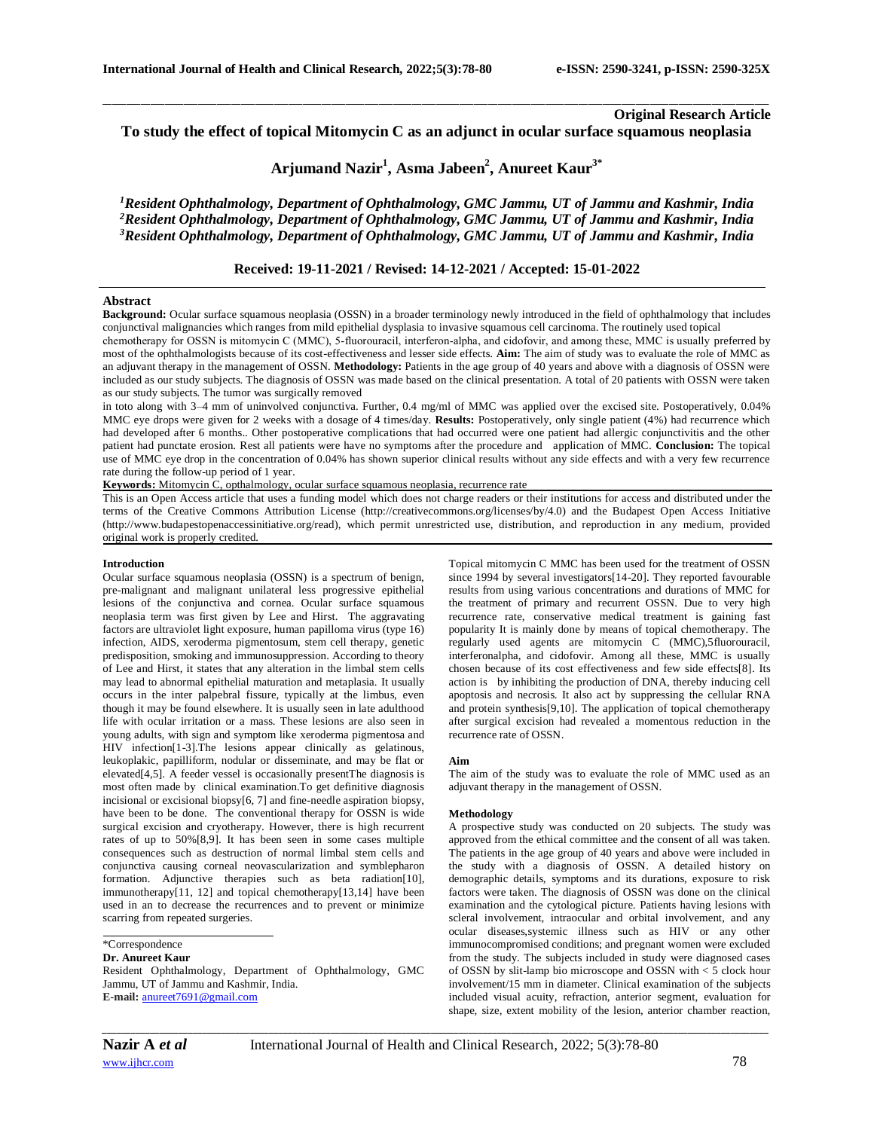# **Original Research Article To study the effect of topical Mitomycin C as an adjunct in ocular surface squamous neoplasia**

# **Arjumand Nazir<sup>1</sup> , Asma Jabeen<sup>2</sup> , Anureet Kaur3\***

\_\_\_\_\_\_\_\_\_\_\_\_\_\_\_\_\_\_\_\_\_\_\_\_\_\_\_\_\_\_\_\_\_\_\_\_\_\_\_\_\_\_\_\_\_\_\_\_\_\_\_\_\_\_\_\_\_\_\_\_\_\_\_\_\_\_\_\_\_\_\_\_\_\_\_\_\_\_\_\_\_\_\_\_\_\_\_\_\_\_\_\_\_\_\_\_\_\_\_\_\_\_\_\_\_\_\_\_\_\_\_\_\_\_\_\_\_\_\_\_\_\_\_\_\_\_\_\_\_\_\_\_\_\_\_\_\_\_\_\_

*<sup>1</sup>Resident Ophthalmology, Department of Ophthalmology, GMC Jammu, UT of Jammu and Kashmir, India <sup>2</sup>Resident Ophthalmology, Department of Ophthalmology, GMC Jammu, UT of Jammu and Kashmir, India <sup>3</sup>Resident Ophthalmology, Department of Ophthalmology, GMC Jammu, UT of Jammu and Kashmir, India*

# **Received: 19-11-2021 / Revised: 14-12-2021 / Accepted: 15-01-2022**

#### **Abstract**

Background: Ocular surface squamous neoplasia (OSSN) in a broader terminology newly introduced in the field of ophthalmology that includes conjunctival malignancies which ranges from mild epithelial dysplasia to invasive squamous cell carcinoma. The routinely used topical chemotherapy for OSSN is mitomycin C (MMC), 5-fluorouracil, interferon-alpha, and cidofovir, and among these, MMC is usually preferred by most of the ophthalmologists because of its cost-effectiveness and lesser side effects. **Aim:** The aim of study was to evaluate the role of MMC as an adjuvant therapy in the management of OSSN. **Methodology:** Patients in the age group of 40 years and above with a diagnosis of OSSN were included as our study subjects. The diagnosis of OSSN was made based on the clinical presentation. A total of 20 patients with OSSN were taken as our study subjects. The tumor was surgically removed

in toto along with 3–4 mm of uninvolved conjunctiva. Further, 0.4 mg/ml of MMC was applied over the excised site. Postoperatively, 0.04% MMC eye drops were given for 2 weeks with a dosage of 4 times/day. **Results:** Postoperatively, only single patient (4%) had recurrence which had developed after 6 months.. Other postoperative complications that had occurred were one patient had allergic conjunctivitis and the other patient had punctate erosion. Rest all patients were have no symptoms after the procedure and application of MMC. **Conclusion:** The topical use of MMC eye drop in the concentration of 0.04% has shown superior clinical results without any side effects and with a very few recurrence rate during the follow-up period of 1 year.

**Keywords:** Mitomycin C, opthalmology, ocular surface squamous neoplasia, recurrence rate

This is an Open Access article that uses a funding model which does not charge readers or their institutions for access and distributed under the terms of the Creative Commons Attribution License (http://creativecommons.org/licenses/by/4.0) and the Budapest Open Access Initiative (http://www.budapestopenaccessinitiative.org/read), which permit unrestricted use, distribution, and reproduction in any medium, provided original work is properly credited.

## **Introduction**

Ocular surface squamous neoplasia (OSSN) is a spectrum of benign, pre-malignant and malignant unilateral less progressive epithelial lesions of the conjunctiva and cornea. Ocular surface squamous neoplasia term was first given by Lee and Hirst. The aggravating factors are ultraviolet light exposure, human papilloma virus (type 16) infection, AIDS, xeroderma pigmentosum, stem cell therapy, genetic predisposition, smoking and immunosuppression. According to theory of Lee and Hirst, it states that any alteration in the limbal stem cells may lead to abnormal epithelial maturation and metaplasia. It usually occurs in the inter palpebral fissure, typically at the limbus, even though it may be found elsewhere. It is usually seen in late adulthood life with ocular irritation or a mass. These lesions are also seen in young adults, with sign and symptom like xeroderma pigmentosa and HIV infection[1-3].The lesions appear clinically as gelatinous, leukoplakic, papilliform, nodular or disseminate, and may be flat or elevated[4,5]. A feeder vessel is occasionally presentThe diagnosis is most often made by clinical examination.To get definitive diagnosis incisional or excisional biopsy[6, 7] and fine-needle aspiration biopsy, have been to be done. The conventional therapy for OSSN is wide surgical excision and cryotherapy. However, there is high recurrent rates of up to 50%[8,9]. It has been seen in some cases multiple consequences such as destruction of normal limbal stem cells and conjunctiva causing corneal neovascularization and symblepharon formation. Adjunctive therapies such as beta radiation[10], immunotherapy[11, 12] and topical chemotherapy[13,14] have been used in an to decrease the recurrences and to prevent or minimize scarring from repeated surgeries.

# \*Correspondence

#### **Dr. Anureet Kaur**

Resident Ophthalmology, Department of Ophthalmology, GMC Jammu, UT of Jammu and Kashmir, India. **E-mail:** [anureet7691@gmail.com](about:blank)

Topical mitomycin C MMC has been used for the treatment of OSSN since 1994 by several investigators[14-20]. They reported favourable results from using various concentrations and durations of MMC for the treatment of primary and recurrent OSSN. Due to very high recurrence rate, conservative medical treatment is gaining fast popularity It is mainly done by means of topical chemotherapy. The regularly used agents are mitomycin C (MMC),5fluorouracil, interferonalpha, and cidofovir. Among all these, MMC is usually chosen because of its cost effectiveness and few side effects[8]. Its action is by inhibiting the production of DNA, thereby inducing cell apoptosis and necrosis. It also act by suppressing the cellular RNA and protein synthesis[9,10]. The application of topical chemotherapy after surgical excision had revealed a momentous reduction in the recurrence rate of OSSN.

#### **Aim**

The aim of the study was to evaluate the role of MMC used as an adjuvant therapy in the management of OSSN.

#### **Methodology**

A prospective study was conducted on 20 subjects. The study was approved from the ethical committee and the consent of all was taken. The patients in the age group of 40 years and above were included in the study with a diagnosis of OSSN. A detailed history on demographic details, symptoms and its durations, exposure to risk factors were taken. The diagnosis of OSSN was done on the clinical examination and the cytological picture. Patients having lesions with scleral involvement, intraocular and orbital involvement, and any ocular diseases,systemic illness such as HIV or any other immunocompromised conditions; and pregnant women were excluded from the study. The subjects included in study were diagnosed cases of OSSN by slit-lamp bio microscope and OSSN with < 5 clock hour involvement/15 mm in diameter. Clinical examination of the subjects included visual acuity, refraction, anterior segment, evaluation for shape, size, extent mobility of the lesion, anterior chamber reaction,

*\_\_\_\_\_\_\_\_\_\_\_\_\_\_\_\_\_\_\_\_\_\_\_\_\_\_\_\_\_\_\_\_\_\_\_\_\_\_\_\_\_\_\_\_\_\_\_\_\_\_\_\_\_\_\_\_\_\_\_\_\_\_\_\_\_\_\_\_\_\_\_\_\_\_\_\_\_\_\_\_\_\_\_\_\_\_\_\_\_\_\_\_\_\_\_\_\_\_\_\_\_\_\_\_\_\_\_\_\_\_\_\_\_\_\_\_\_\_\_\_\_\_\_\_\_\_\_\_\_\_\_\_\_\_\_\_\_\_\_\_*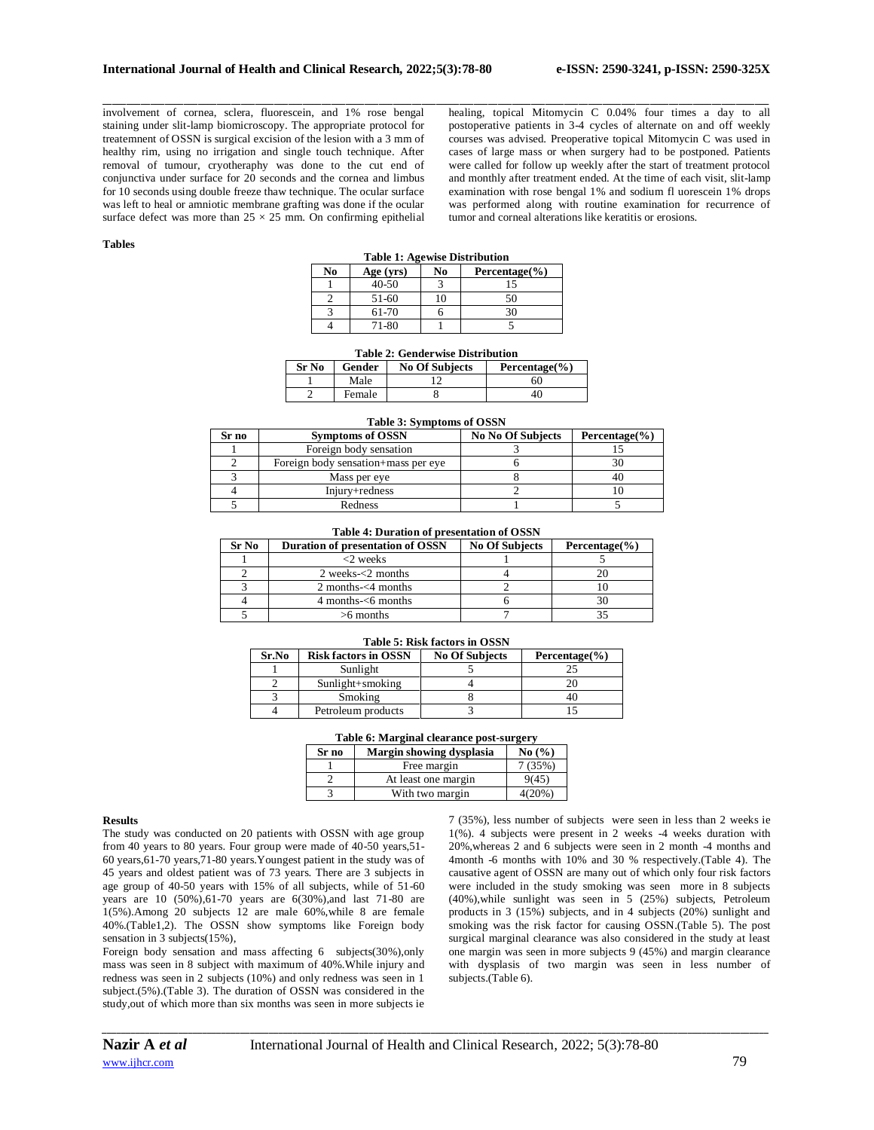involvement of cornea, sclera, fluorescein, and 1% rose bengal staining under slit-lamp biomicroscopy. The appropriate protocol for treatemnent of OSSN is surgical excision of the lesion with a 3 mm of healthy rim, using no irrigation and single touch technique. After removal of tumour, cryotheraphy was done to the cut end of conjunctiva under surface for 20 seconds and the cornea and limbus for 10 seconds using double freeze thaw technique. The ocular surface was left to heal or amniotic membrane grafting was done if the ocular surface defect was more than  $25 \times 25$  mm. On confirming epithelial healing, topical Mitomycin C 0.04% four times a day to all postoperative patients in 3-4 cycles of alternate on and off weekly courses was advised. Preoperative topical Mitomycin C was used in cases of large mass or when surgery had to be postponed. Patients were called for follow up weekly after the start of treatment protocol and monthly after treatment ended. At the time of each visit, slit-lamp examination with rose bengal 1% and sodium fl uorescein 1% drops was performed along with routine examination for recurrence of tumor and corneal alterations like keratitis or erosions.

## **Tables**

| <b>Table 1: Agewise Distribution</b> |           |                          |    |
|--------------------------------------|-----------|--------------------------|----|
| No                                   | Age (yrs) | No<br>Percentage $(\% )$ |    |
|                                      | $40 - 50$ |                          | 15 |
|                                      | 51-60     |                          | 50 |
|                                      | 61-70     |                          | 30 |
|                                      | 71-80     |                          |    |

\_\_\_\_\_\_\_\_\_\_\_\_\_\_\_\_\_\_\_\_\_\_\_\_\_\_\_\_\_\_\_\_\_\_\_\_\_\_\_\_\_\_\_\_\_\_\_\_\_\_\_\_\_\_\_\_\_\_\_\_\_\_\_\_\_\_\_\_\_\_\_\_\_\_\_\_\_\_\_\_\_\_\_\_\_\_\_\_\_\_\_\_\_\_\_\_\_\_\_\_\_\_\_\_\_\_\_\_\_\_\_\_\_\_\_\_\_\_\_\_\_\_\_\_\_\_\_\_\_\_\_\_\_\_\_\_\_\_\_\_

#### **Table 2: Genderwise Distribution**

| Sr No | Gender | <b>No Of Subjects</b> | Percentage $(\% )$ |
|-------|--------|-----------------------|--------------------|
|       | Male   |                       | 50                 |
|       | Female |                       |                    |

# **Table 3: Symptoms of OSSN**

| Sr no | <b>Symptoms of OSSN</b>             | <b>No No Of Subjects</b> | Percentage $(\% )$ |
|-------|-------------------------------------|--------------------------|--------------------|
|       | Foreign body sensation              |                          |                    |
|       | Foreign body sensation+mass per eye |                          |                    |
|       | Mass per eye                        |                          |                    |
|       | Injury+redness                      |                          |                    |
|       | Redness                             |                          |                    |

#### **Table 4: Duration of presentation of OSSN**

| Sr No | Duration of presentation of OSSN | <b>No Of Subjects</b> | Percentage $(\% )$ |
|-------|----------------------------------|-----------------------|--------------------|
|       | $<$ 2 weeks                      |                       |                    |
|       | 2 weeks $<$ 2 months             |                       |                    |
|       | 2 months- $<$ 4 months           |                       |                    |
|       | $4$ months- $<$ 6 months         |                       |                    |
|       | $>6$ months                      |                       |                    |

#### **Table 5: Risk factors in OSSN**

| Sr.No | <b>Risk factors in OSSN</b> | <b>No Of Subjects</b> | Percentage $(\% )$ |
|-------|-----------------------------|-----------------------|--------------------|
|       | Sunlight                    |                       |                    |
|       | $Sunlight+smoking$          |                       |                    |
|       | Smoking                     |                       |                    |
|       | Petroleum products          |                       |                    |

### **Table 6: Marginal clearance post-surgery**

| Sr no | Margin showing dysplasia | No $\left(\frac{9}{6}\right)$ |
|-------|--------------------------|-------------------------------|
|       | Free margin              | 7(35%)                        |
|       | At least one margin      | 9(45)                         |
|       | With two margin          | 4(20%)                        |

#### **Results**

The study was conducted on 20 patients with OSSN with age group from 40 years to 80 years. Four group were made of 40-50 years,51- 60 years,61-70 years,71-80 years.Youngest patient in the study was of 45 years and oldest patient was of 73 years. There are 3 subjects in age group of 40-50 years with 15% of all subjects, while of 51-60 years are 10 (50%),61-70 years are 6(30%),and last 71-80 are 1(5%).Among 20 subjects 12 are male 60%,while 8 are female 40%.(Table1,2). The OSSN show symptoms like Foreign body sensation in 3 subjects(15%),

Foreign body sensation and mass affecting 6 subjects(30%),only mass was seen in 8 subject with maximum of 40%.While injury and redness was seen in 2 subjects (10%) and only redness was seen in 1 subject.(5%).(Table 3). The duration of OSSN was considered in the study,out of which more than six months was seen in more subjects ie

7 (35%), less number of subjects were seen in less than 2 weeks ie 1(%). 4 subjects were present in 2 weeks -4 weeks duration with 20%,whereas 2 and 6 subjects were seen in 2 month -4 months and 4month -6 months with 10% and 30 % respectively.(Table 4). The causative agent of OSSN are many out of which only four risk factors were included in the study smoking was seen more in 8 subjects (40%),while sunlight was seen in 5 (25%) subjects, Petroleum products in 3 (15%) subjects, and in 4 subjects (20%) sunlight and smoking was the risk factor for causing OSSN.(Table 5). The post surgical marginal clearance was also considered in the study at least one margin was seen in more subjects 9 (45%) and margin clearance with dysplasis of two margin was seen in less number of subjects.(Table 6).

*\_\_\_\_\_\_\_\_\_\_\_\_\_\_\_\_\_\_\_\_\_\_\_\_\_\_\_\_\_\_\_\_\_\_\_\_\_\_\_\_\_\_\_\_\_\_\_\_\_\_\_\_\_\_\_\_\_\_\_\_\_\_\_\_\_\_\_\_\_\_\_\_\_\_\_\_\_\_\_\_\_\_\_\_\_\_\_\_\_\_\_\_\_\_\_\_\_\_\_\_\_\_\_\_\_\_\_\_\_\_\_\_\_\_\_\_\_\_\_\_\_\_\_\_\_\_\_\_\_\_\_\_\_\_\_\_\_\_\_\_*